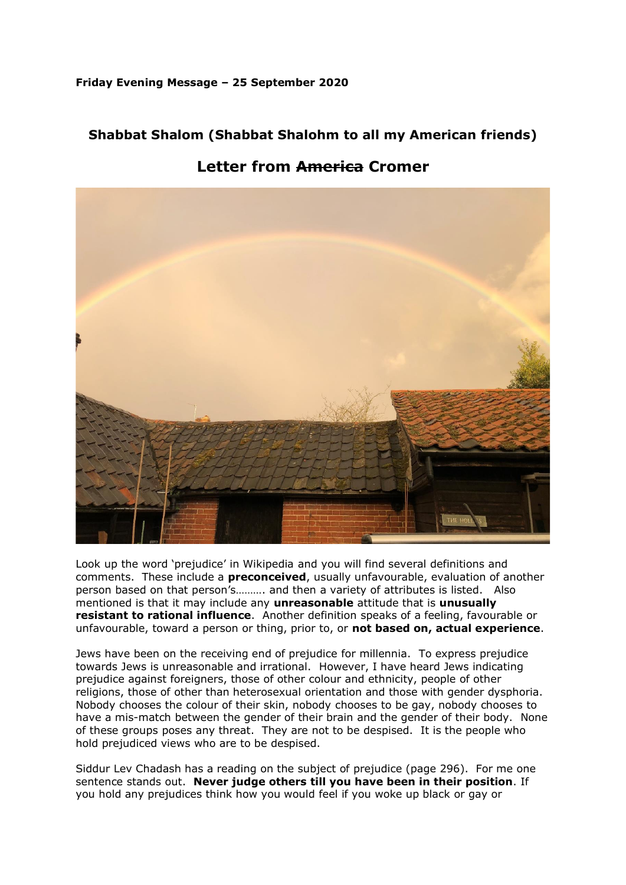**Friday Evening Message – 25 September 2020**

## **Shabbat Shalom (Shabbat Shalohm to all my American friends)**



**Letter from America Cromer**

Look up the word 'prejudice' in Wikipedia and you will find several definitions and comments. These include a **preconceived**, usually unfavourable, evaluation of another person based on that person's………. and then a variety of attributes is listed. Also mentioned is that it may include any **unreasonable** attitude that is **unusually resistant to rational influence**. Another definition speaks of a feeling, favourable or unfavourable, toward a person or thing, prior to, or **not based on, actual experience**.

Jews have been on the receiving end of prejudice for millennia. To express prejudice towards Jews is unreasonable and irrational. However, I have heard Jews indicating prejudice against foreigners, those of other colour and ethnicity, people of other religions, those of other than heterosexual orientation and those with gender dysphoria. Nobody chooses the colour of their skin, nobody chooses to be gay, nobody chooses to have a mis-match between the gender of their brain and the gender of their body. None of these groups poses any threat. They are not to be despised. It is the people who hold prejudiced views who are to be despised.

Siddur Lev Chadash has a reading on the subject of prejudice (page 296). For me one sentence stands out. **Never judge others till you have been in their position**. If you hold any prejudices think how you would feel if you woke up black or gay or